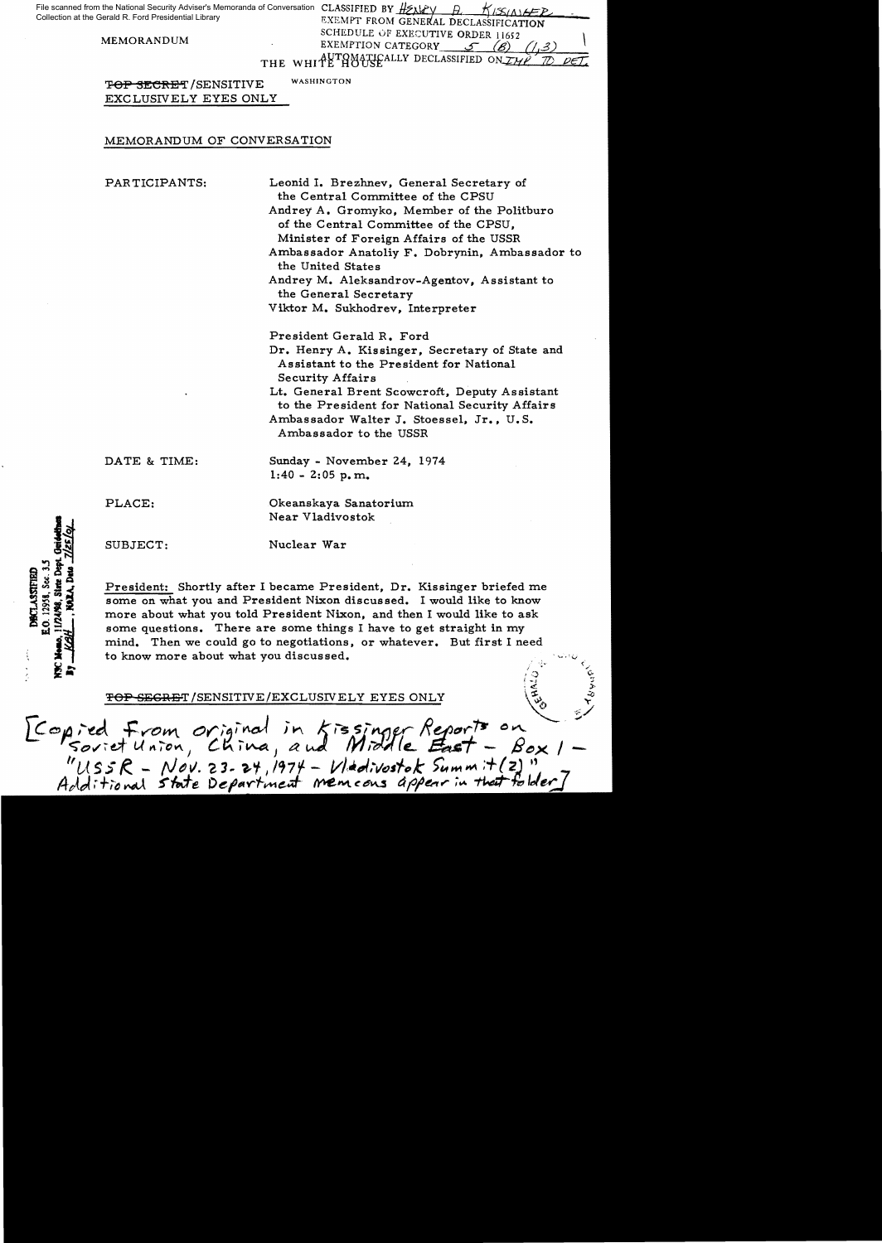File scanned from the National Security Adviser's Memoranda of Conversation CLASSIFIED BY HEARY A. H. KISIA 16FR EXEMPT FROM GENERAL DECLASSIFICATION Collection at the Gerald R. Ford Presidential Library

SCHEDULE OF EXECUTIVE ORDER 11652.<br>EXEMPTION CATEGORY *S* (g) THE WHITE HOUSEALLY DECLASSIFIED ON TWP

TOP SECRET/SENSITIVE WASHINGTON

EXCLUSIVELY EYES ONLY

## MEMORANDUM OF CONVERSATION

PARTICIPANTS: Leonid I. Brezhnev, General Secretary of the Central Committee of the CPSU Andrey A. Gromyko, Member of the Politburo of the Central Committee of the CPSU, Minister of Foreign Affairs of the USSR Ambassador Anatoliy F. Dobrynin, Ambassador to the United States Andrey M. Aleksandrov-Agentov. Assistant to the General Secretary Viktor M. Sukhodrev, Interpreter President Gerald R. Ford

> Dr. Henry A. Kissinger, Secretary of State and Assistant to the President for National Security Affairs

Lt. General Brent Scowcroft, Deputy Assistant to the President for National Security Affairs Ambassador Walter J. Stoessel, Jr., U. S. Ambassador to the USSR

> $\epsilon$  , .<br>مبا ~ J'

DATE & TIME: Sunday - November 24, 1974

 $1:40 - 2:05$  p.m.

PLACE: Okeanskaya Sanatorium

Near Vladivostok

SUBJECT: Nuclear War

 $0.12958.$  Sec.  $3.5$ **DECLASSIFIEL** 

President: Shortly after I became President, Dr. Kissinger briefed me some on what you and President Nixon discussed. I would like to know more about what you told President Nixon, and then I would like to ask some questions. There are some things I have to get straight in my mind. Then we could go to negotiations, or whatever. But first I need to know more about what you discussed.

 $\overline{\text{SEERET}}$ /SENSITIVE/EXCLUSIVELY EYES ONLY

 $\mathcal{L}$ [Congred From original in Kissinger Reports on<br>Soviet Union, China, and Middle East - Box 1<br>"USSR - Nov. 23-24, 1974 - Vladivostok Summit(2)"<br>Additional state Department memcons appear in that folder]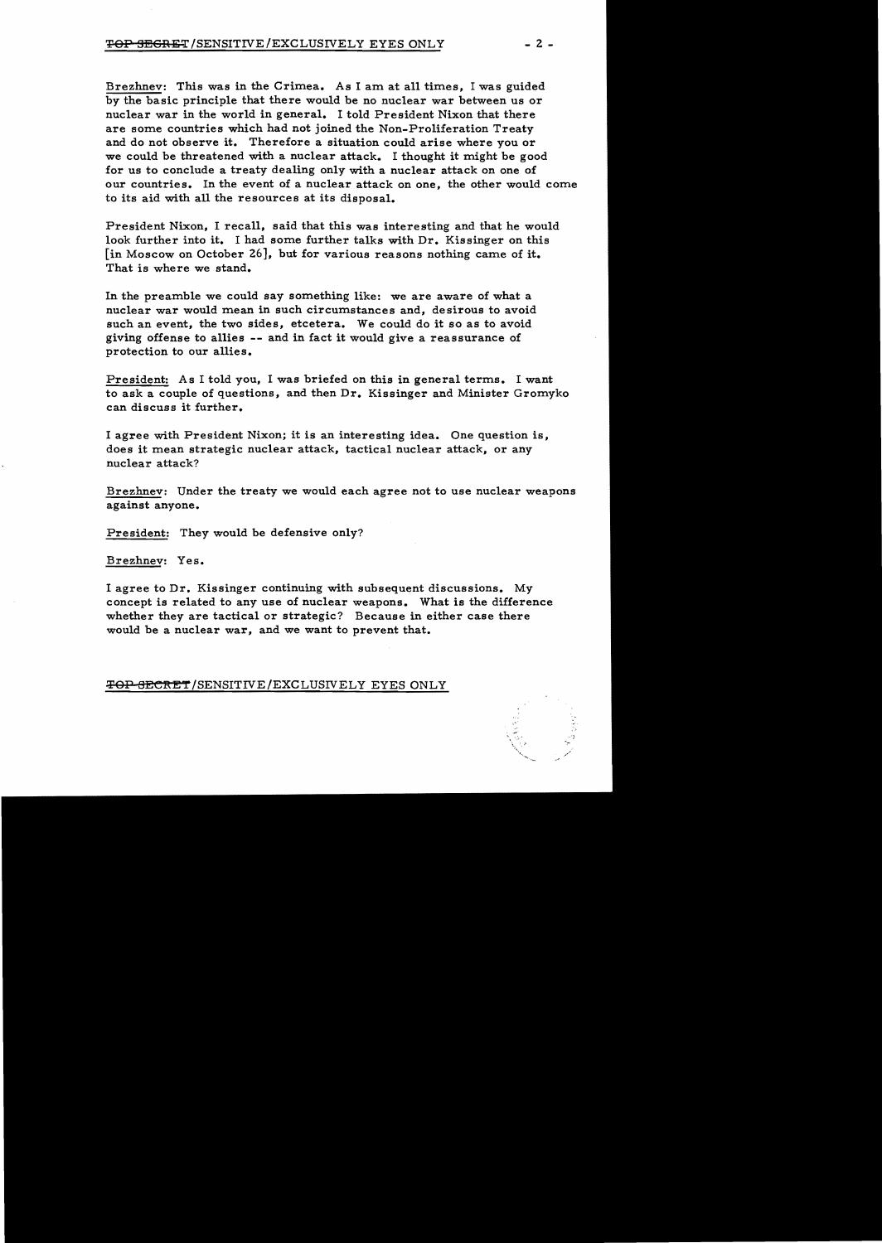Brezhnev: This was in the Crimea. As I am at all times, I was guided by the basic principle that there would be no nuclear war between us or nuclear war in the world in general. I told President Nixon that there are some countries which had not joined the Non-Proliferation Treaty and do not observe it. Therefore a situation could arise where you or we could be threatened with a nuclear attack. I thought it might be good for us to conclude a treaty dealing only with a nuclear attack on one of our countries. In the event of a nuclear attack on one, the other would come to its aid with all the resources at its disposal.

President Nixon, I recall, said that this was interesting and that he would look further into it. I had some further talks with Dr. Kissinger on this [in Moscow on October 26], but for various reasons nothing came of it. That is where we stand.

In the preamble we could say something like: we are aware of what a nuclear war would mean in such circumstances and, desirous to avoid such an event, the two sides, etcetera. We could do it so as to avoid giving offense to allies -- and in fact it would give a reassurance of protection to our allies.

President: As I told you, I was briefed on this in general terms. I want to ask a couple of questions, and then Dr. Kissinger and Minister Gromyko can discuss it further.

I agree with President Nixon; it is an interesting idea. One question is, does it mean strategic nuclear attack, tactical nuclear attack, or any nuclear attack?

Brezhnev: Under the treaty we would each agree not to use nuclear weapons against anyone.

President: They would be defensive only?

Brezhnev: Yes.

I agree to Dr. Kissinger continuing with subsequent discussions. My concept is related to any use of nuclear weapons. What is the difference whether they are tactical or strategic? Because in either case there would be a nuclear war, and we want to prevent that.

TOP SECRET/SENSITIVE/EXCLUSIVELY EYES ONLY

']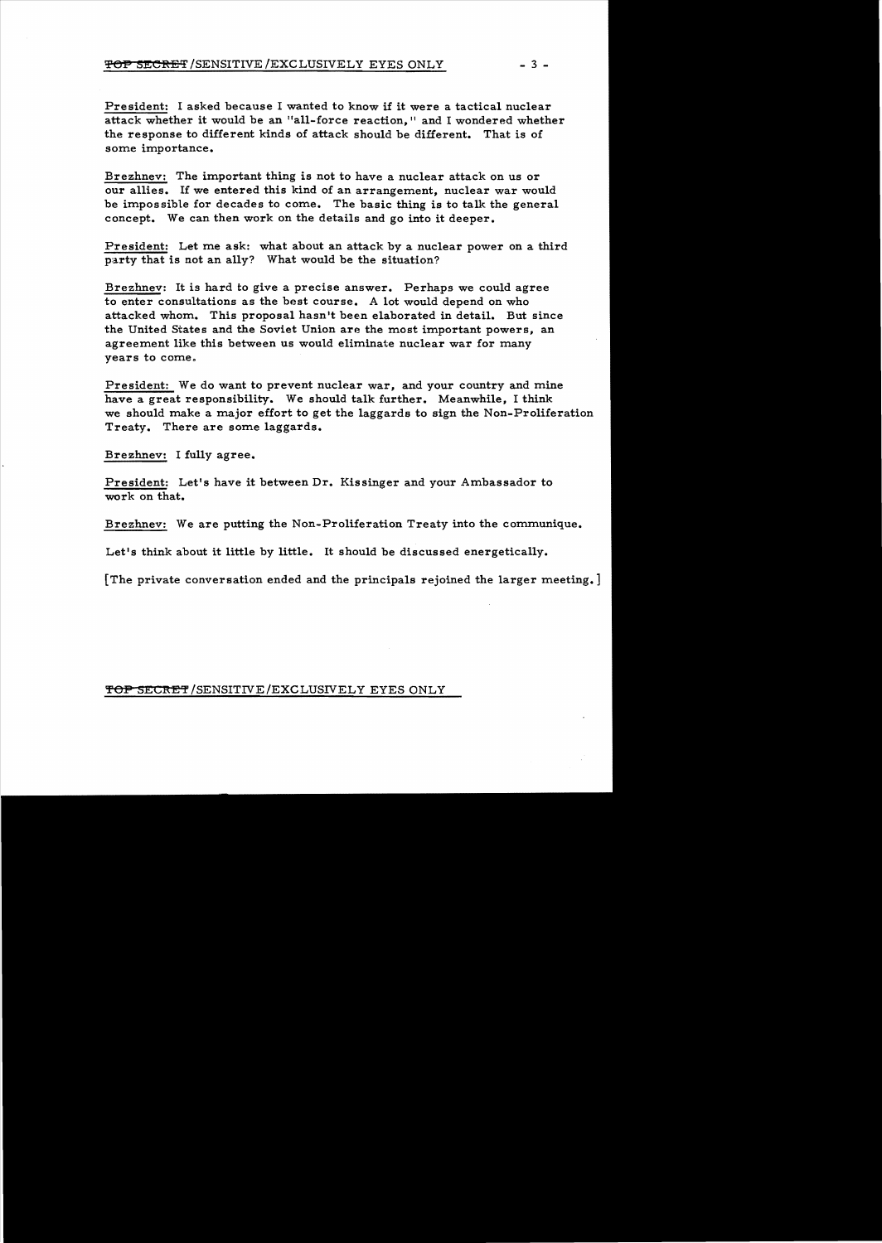President: I asked because I wanted to know if it were a tactical nuclear attack whether it would be an "all-force reaction," and I wondered whether the response to different kinds of attack should be different. That is of some importance.

Brezhnev: The important thing is not to have a nuclear attack on us or our allies. If we entered this kind of an arrangement, nuclear war would be impossible for decades to come. The basic thing is to talk the general concept. We can then work on the details and go into it deeper.

President: Let me ask: what about an attack by a nuclear power on a third party that is not an ally? What would be the situation?

Brezhnev: It is hard to give a precise answer. Perhaps we could agree to enter consultations as the best course. A lot would depend on who attacked whom. This proposal hasn't been elaborated in detail. But since the United States and the Soviet Union are the most important powers, an agreement like this between us would eliminate nuclear war for many years to come.

President: We do want to prevent nuclear war, and your country and mine have a great responsibility. We should talk further. Meanwhile, I think we should make a major effort to get the laggards to sign the Non-Proliferation Treaty. There are some laggards.

Brezhnev: I fully agree.

President: Let's have it between Dr. Kissinger and your Ambassador to work on that.

Brezhnev: We are putting the Non-Proliferation Treaty into the communique.

Let's think about it little by little. It should be discussed energetically.

[The private conversation ended and the principals rejoined the larger meeting. ]

## TOP SECRET/SENSITIVE/EXCLUSIVELY EYES ONLY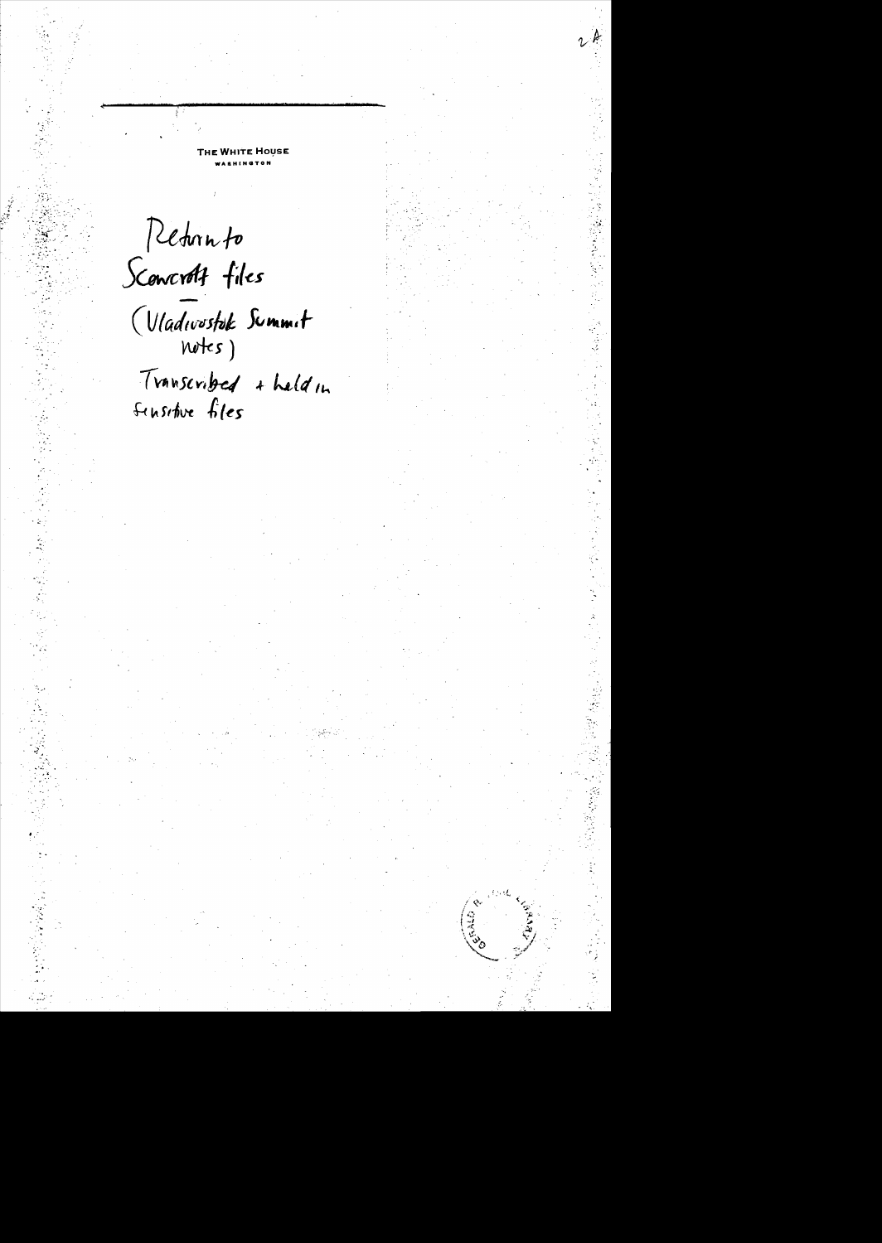Return to Sconcrott files (Vladwostok Summit Transcribed + held in Sensitive files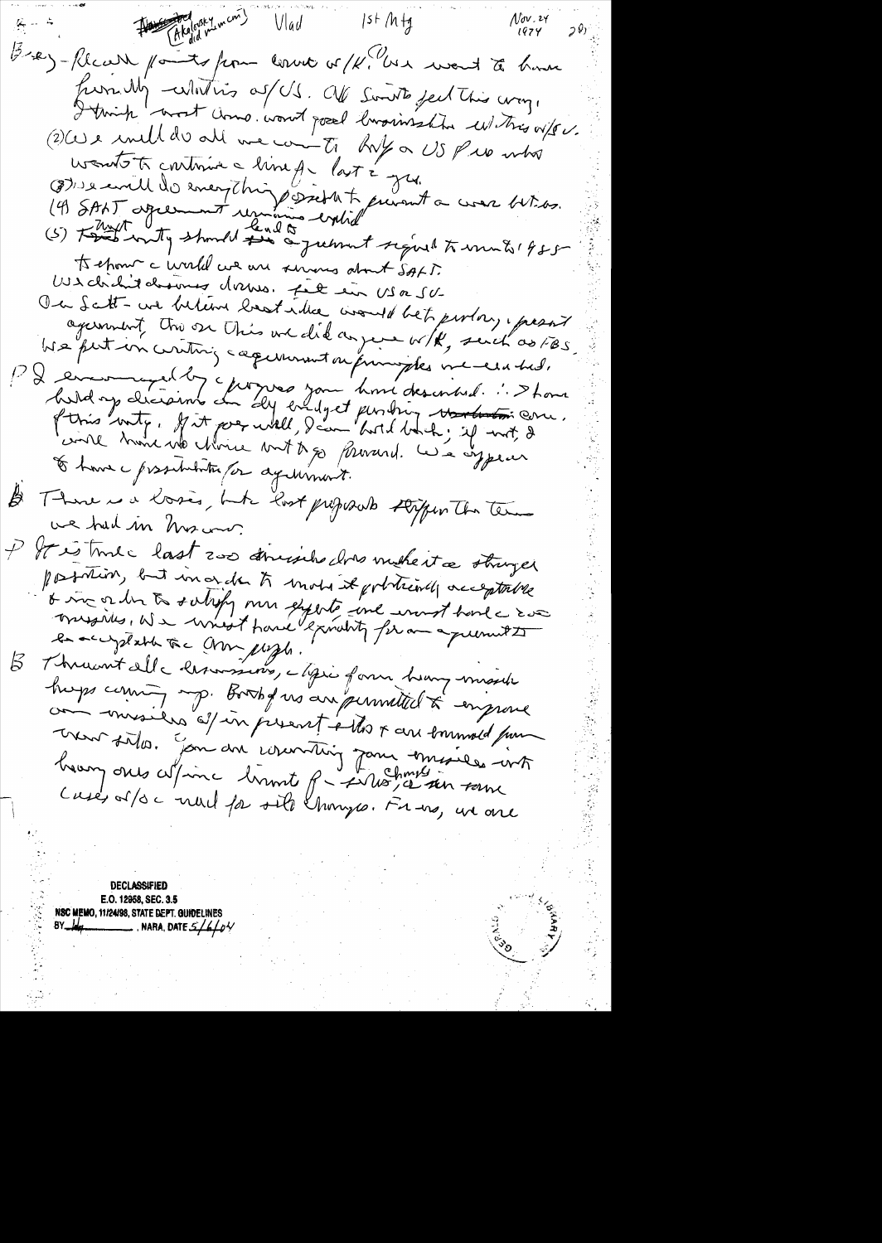$1$ st M $H_4$ Vlad (5-2)-Recent points from conver or / K. U.X would to have from My - whithis of US. OU South feel this way. I trink west word word good luxinsship whitnes offer. (2) We und de alle me comme to huy a US pro mbo wonts to continue a line que last égyes. (8) 1) earth do energthing sicht to prevent a creer bit des.<br>(4) SBNT apperment remains within eight a creer bit des.<br>(5) Food writing should find a greenent regional to work 1955 ts chour c'urelle cue au servers about SALD.<br>US chrétie dossures dessus. Fit eur US a SU-On Satt-une believe bestudie would bet perlon, present agament troise This une did anyene with, such as FBS We put in cirching capernaunt on principles une era had. PD encouraged des charges pour home described. : > Long E have possibilita for againment. There is a losses, but lost proposals stipen The Terms  $\cancel{\beta}$ we had in his our. It is true last 2000 demission does make it a stringer possibilist, but in order to mote it politically acceptable o vn or der to satisfy men experts une worst hand a soa en recyptable àc Amplight."  $\beta$ hups coming up. Bookfors an permitted to engrave com misiles ét in present etter au sommeld pour avent sites. Join du counting jour emissées int

DECLASSIFIED E.O. 12958, SEC. 3.5 NSC MEMO, 11/24/98, STATE DEPT. GUIDELINES 8Y\_*Wq*\_ NARA, DATE  $5/6/6/$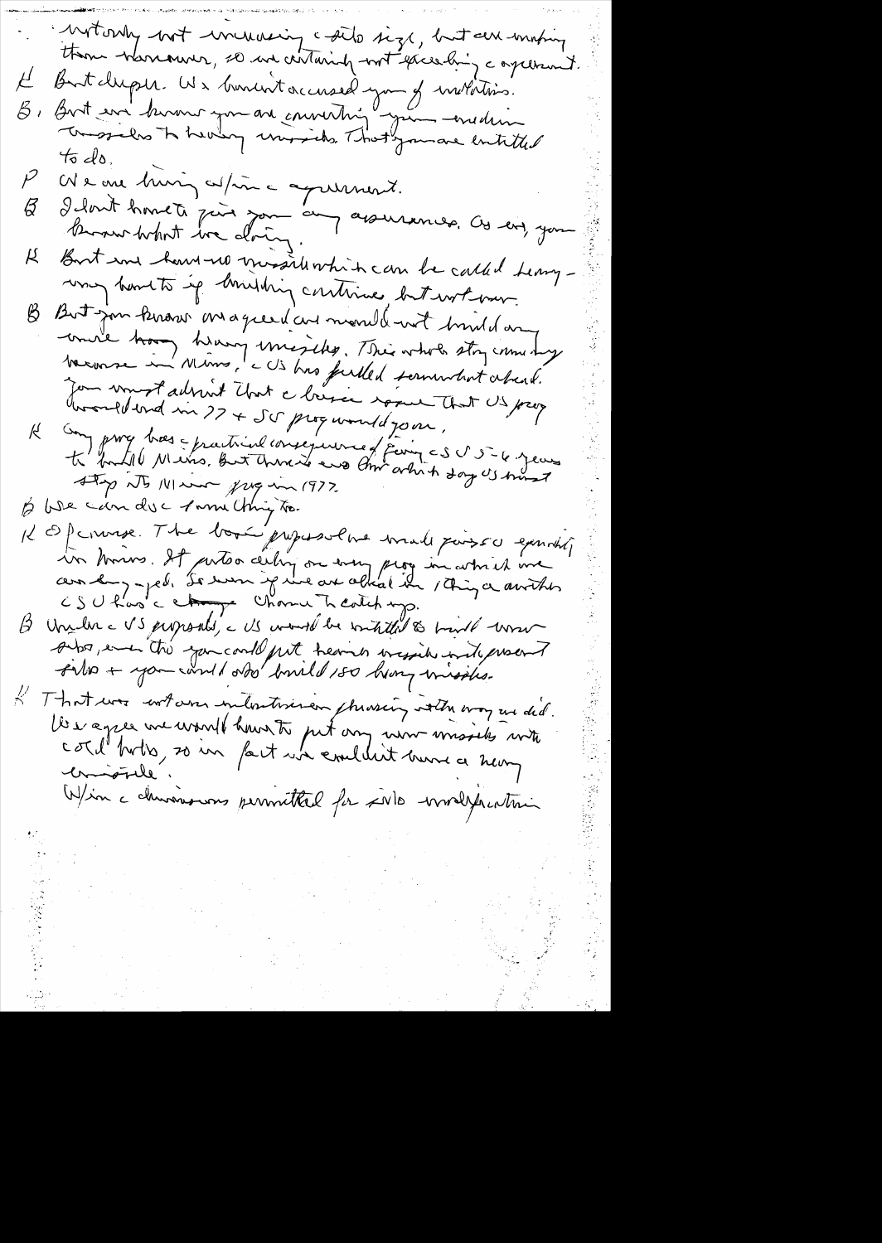Motory bot increasing cails size, but an uniting But duple. We busint accused you of wildetins.<br>But we busine you are converting your -esselion  $\mu$  $\beta$  ,  $45d_0$ We are him, aspire aquiment.  $\tilde{\mathcal{P}}$ I dont homets jour pau au assurances. Ces ens, you  $\varnothing$ But in hard-up missiliation be called terry-К ung homets up limiting continue, but work over. But jour kirour magier dans mondement huid an  $\pmb{\mathcal{B}}$ unire trong hravy unisides. This whole stoy come shy Jon voust adrint Unit à briser réserve Unit US proz Roomflerd in 27 + Scr programmed 70 m. Our proces practical consequence d'Euro < S S = 6. Jean  $\forall$ Sty its Main frequence 1972 Il Of course The box purses he male poisse envité un trois. It autor centre ou mon prog in article inc Unile c VS proposals, a US would be writed to build work  $\beta_$ sitos, en la gancardo put trevir visido nito procent That was wrt over interstission phraseing with may us did.  $\mathcal{K}_\mathbb{C}$ les agres me would hours to put any non mossiles with comptable Win a churismons permitted for solo worldpartini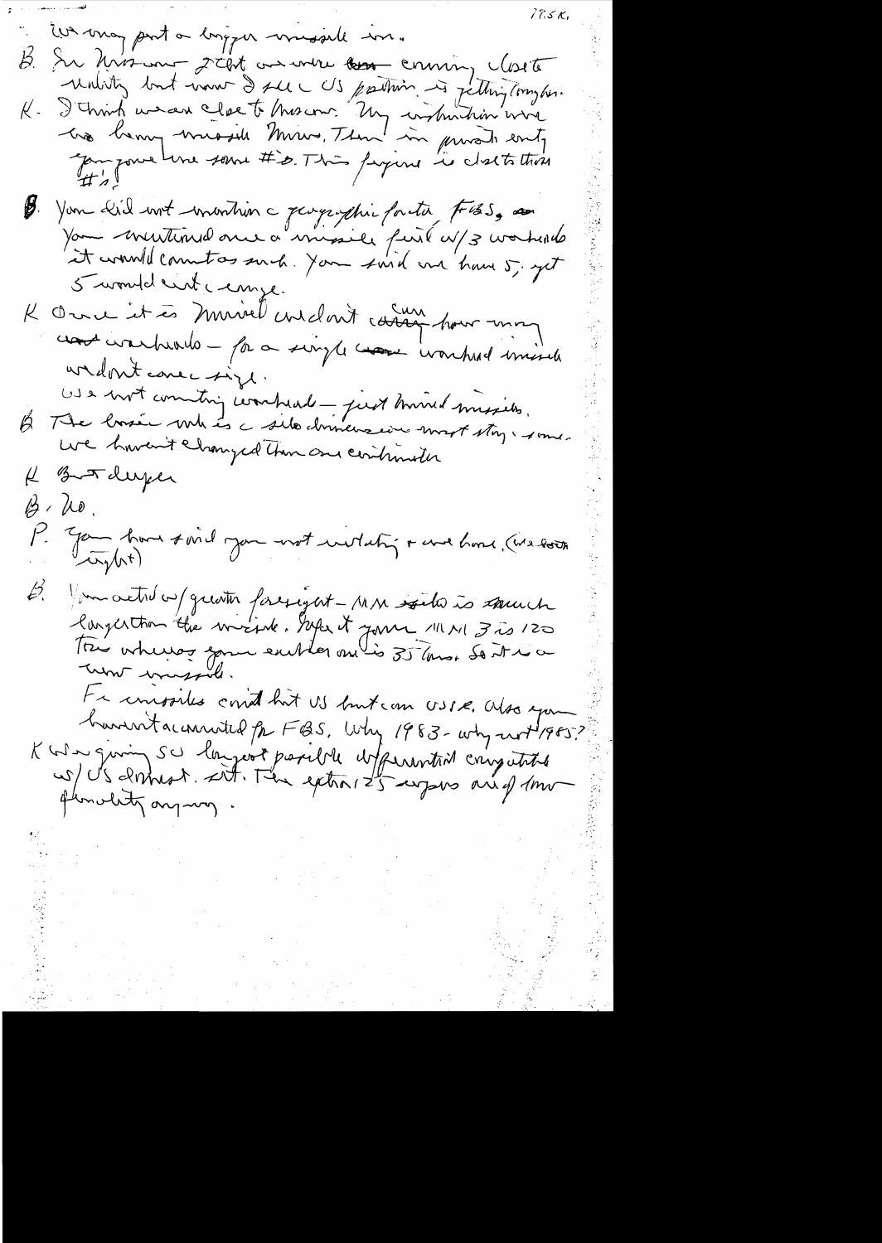$77.5<sub>K</sub>$ in may part a longger missall in. In his and stat as were the coming closete Þ. Unisty but now I see US partiin is jetting my her. I christ we can close to this com. Un instruction wire  $R$  . B. You did unt imantion a pargraphie facta F65, and 5 wonde cut cempe. K Over it à muirel coulant cours hour mon contentements - par a simple comme ivantual missile widowt come inge. US a vot commiting coordread - just mound missiles. The losse with is a site chinemaine most story i some.  $\not\beta$ uve haven't changed than one continueter H Botaluper  $\beta$ , ho. P. Jan have said you not within revel home (we both fun activ a f quatin foregat - MM soits à sound  $\cancel{\varepsilon}$ Fa univoites court but US butcan USIR. Also you haventacemented for FBS. Why 1983-why worth 1985?<br>K why giving SU longeot parille defensation carry white flowerty anyway.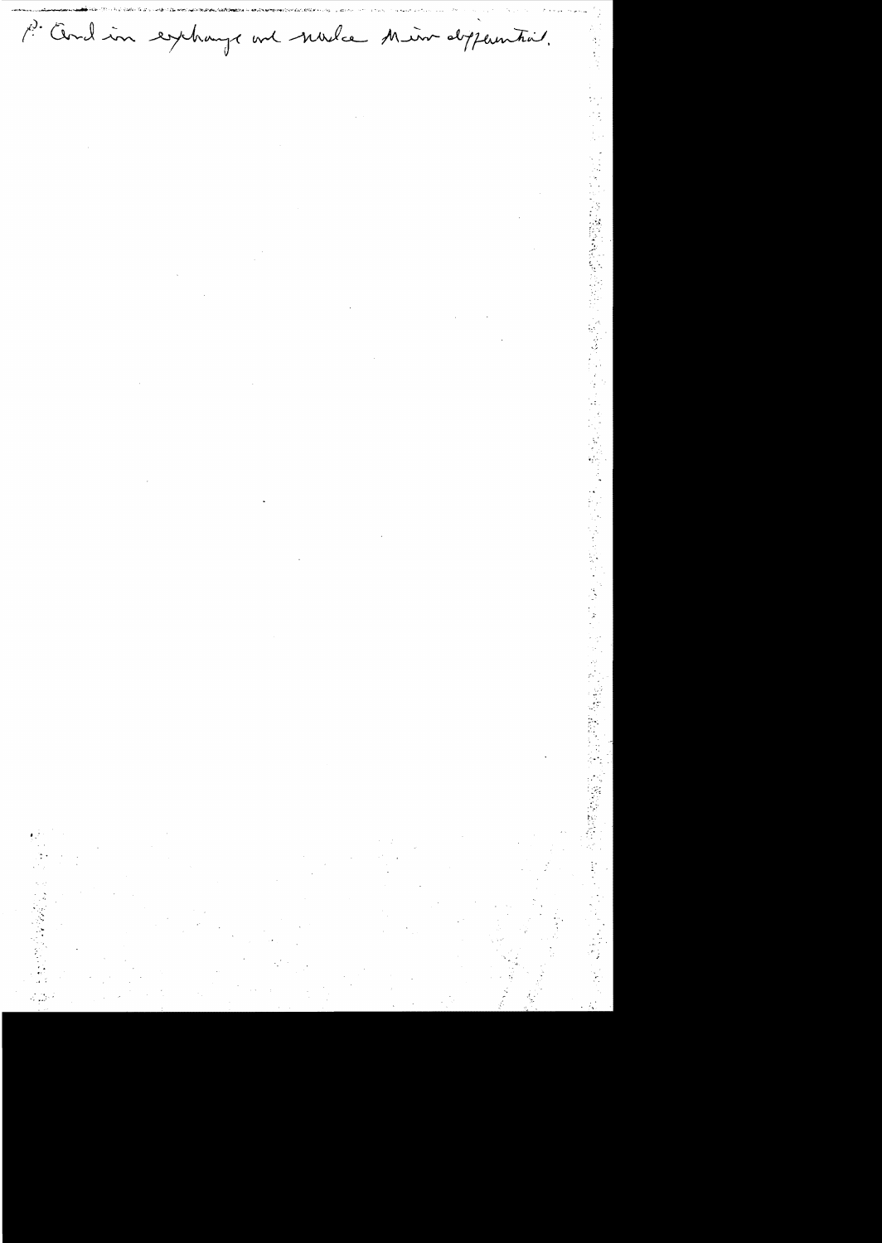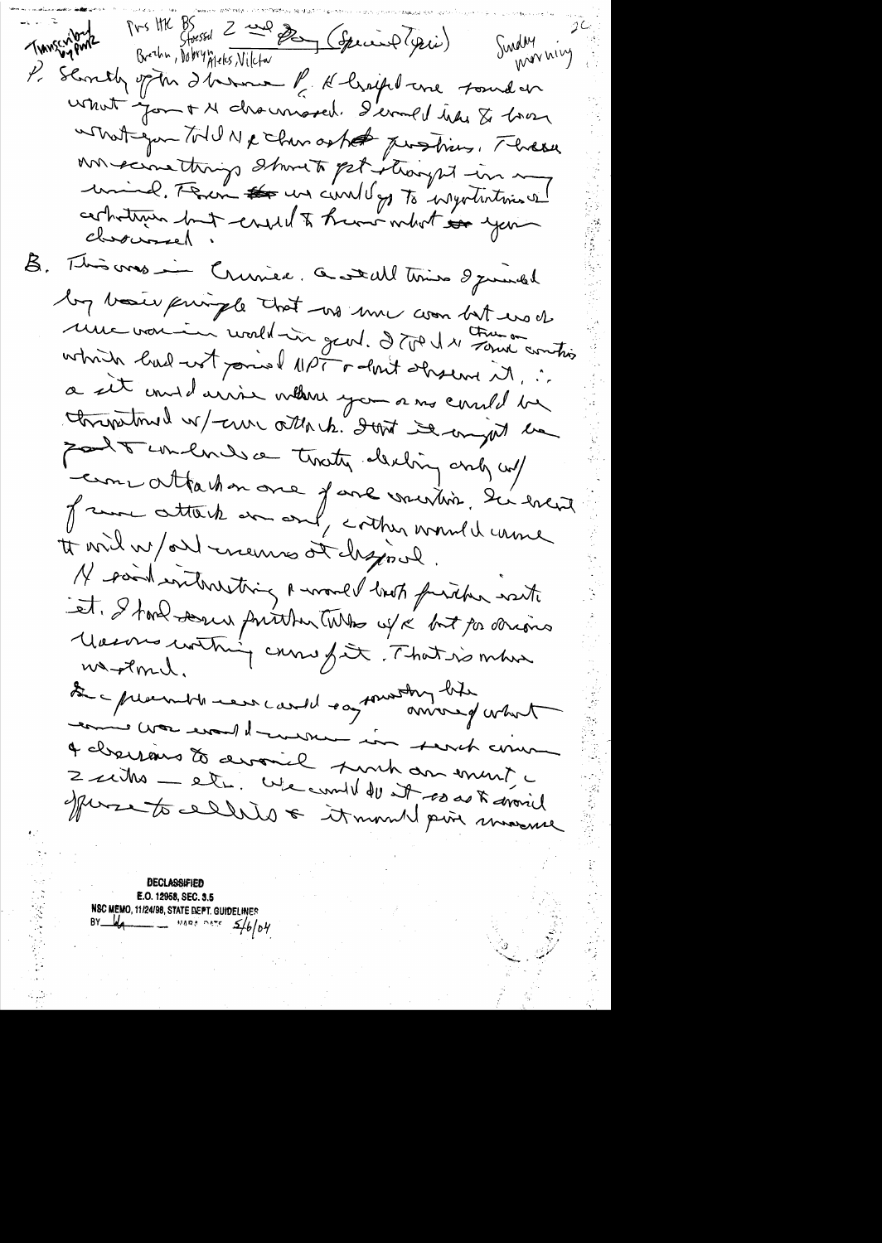Pvs HK BS Storssol 2 and Day (Special Yesse) THINGEN PWIZ Sunday vivy P. Slontly of the Ihrenne P. H. bright are found on what you + M drawnased. S'erned use & har what you told Ne chan asked Justices, Three un scinettings stand of itionized in me uning, Figure # us could go to injutintives! B. This was in Crunice. a wall time I junded by baier principle that we me was but us of une voir in vorble un gent. D'ART et contris which had not point lipe of the base of ... a sit unidains volters you ans could be christinal w/cur attack. Jost is anywh be port unliver traty decling and w/ comme attacher one fare vousion, du event of some attack and and conther wound wound tt will w/orl mennes at chzosel. 14 raid entrarcting a world but further with et Stond Derin further tube us & but par derive Macons contrat casse fût. That is mbor was Pome. De preventes ears carde say sousting biter and en le crois monsieur in servit comme 4 charsains de arronicle surt dansmunt, c 2 miles - et me compt de 28 mars 8 mars 1

**DECLASSIFIED** E.O. 12958, SEC. 3.5 NSC MEMO, 11/24/98, STATE DEPT. GUIDELINES<br>BY  $\frac{1}{4}$  MARA DATE 5/6/04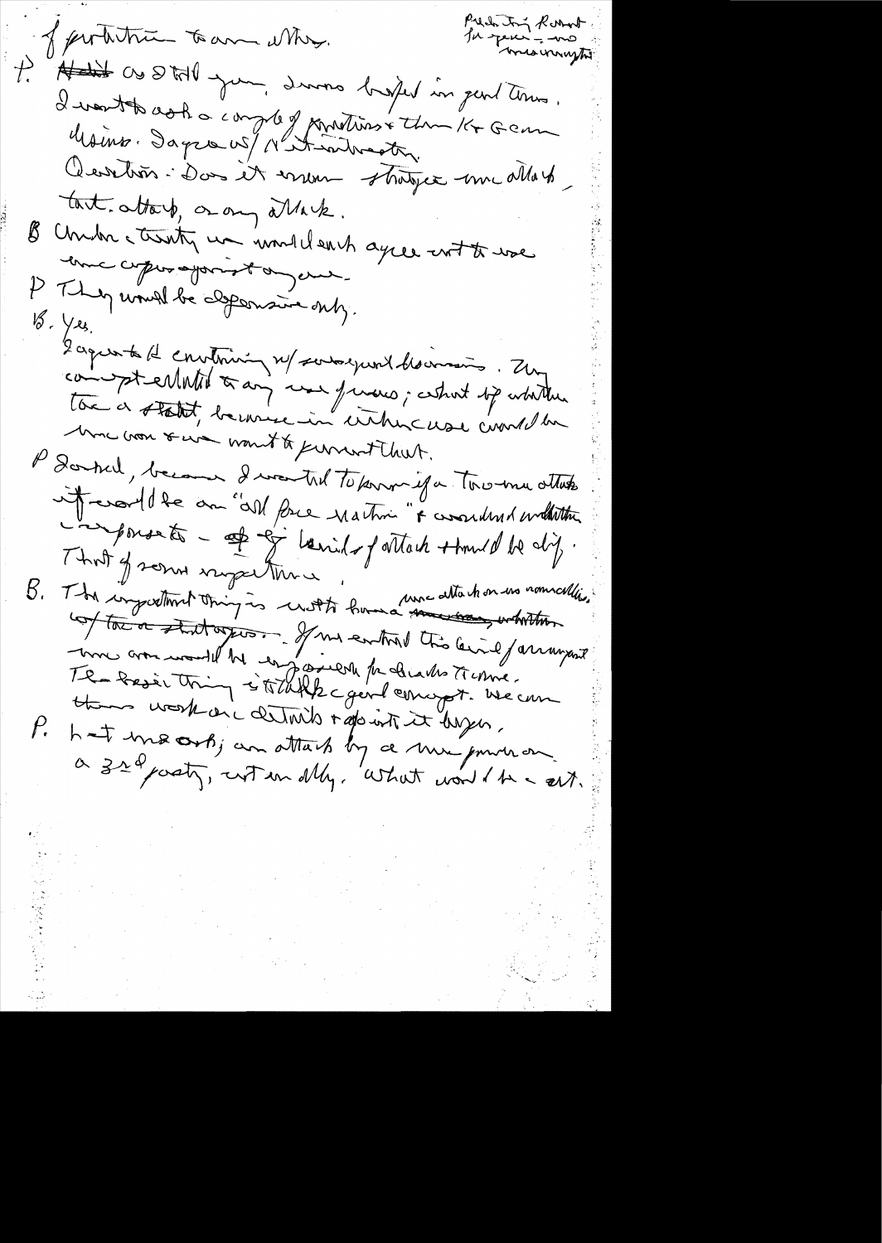Prede ton Roomt of perhitrie to an altry. Habit as Still your, during bright in part times.  $t_{\cdot}$ I vente cocha comple formations the Remember of Comment Cevetion : Don et erreur stratger une allass tart. attach, or any others. Chidre ctionty un und clearh agree ent to use  $\mathcal{B}^$ ence coperajonsta en P They would be depensive only. 18. Yes.<br>2 agreente de convenir n/ souto-example des avans . Zur tou a statit, because in cittencure court du More won serve want to perment that. l'Icerticle, because I voutre toternaissa tous mu attente it could be an "all force nation" & considered withiting L'aponsats - of of lanilofattach + tomel de dif. That of some impactions " und me attachon un nommallier" une ammentation of me entre the levil farmer them work on a details + aparent it larges. P. hat macross; an attack by a min power on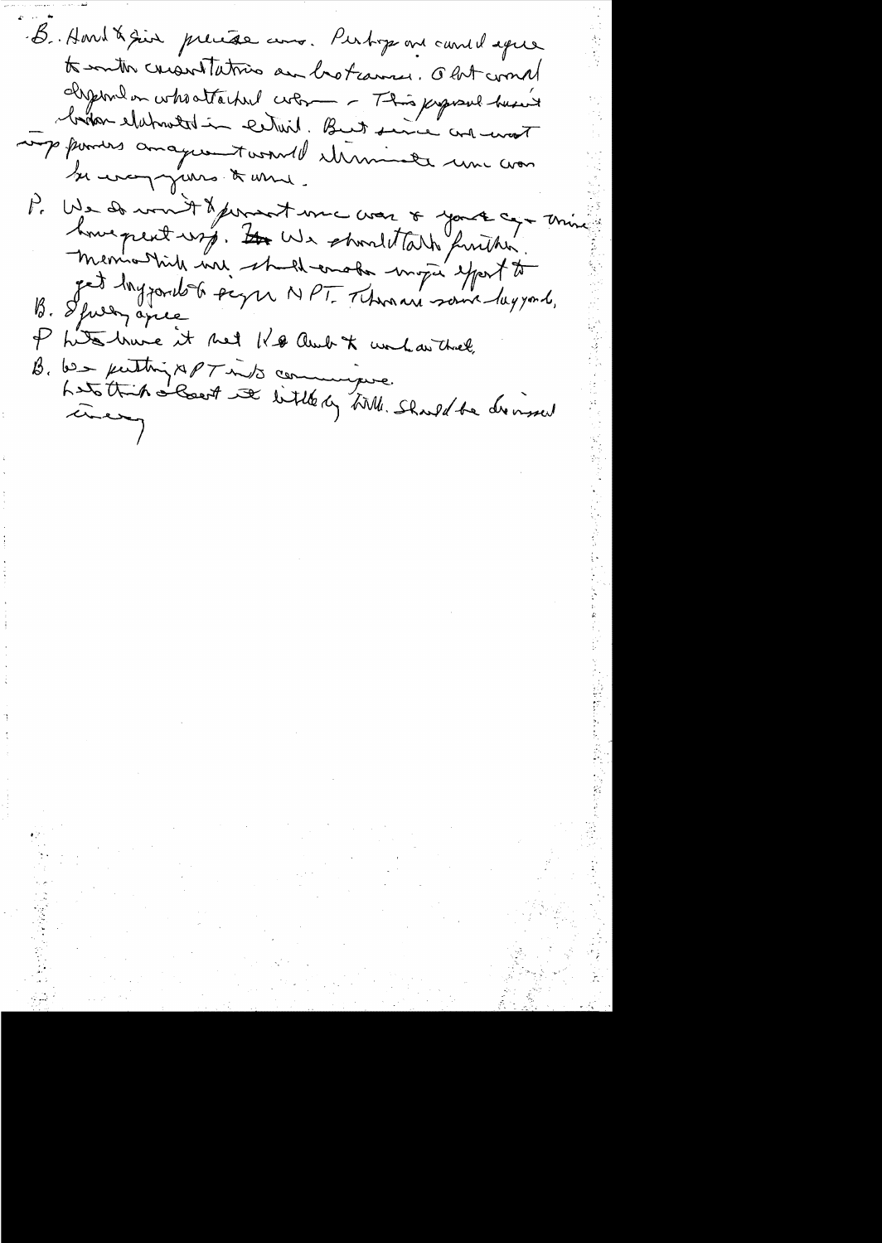B. Aout & sin precése aux. Pertoge me cande ague to entre creantativo an hotamin. Out come Isperalen who attached colores - This papeal husier montes anagueantes terribles une com P. We do won't dependent une comme of your approximation  $P_{\epsilon}$ Phitoshive it met Ko audit unhauthiel, B. 62 puttin APT into commissive.<br>Les this Recent at little by AMI. Should be dernied

 $\label{eq:2} \frac{1}{2}\sum_{i=1}^n\frac{1}{2}\sum_{j=1}^n\frac{1}{2}\sum_{j=1}^n\frac{1}{2}\sum_{j=1}^n\frac{1}{2}\sum_{j=1}^n\frac{1}{2}\sum_{j=1}^n\frac{1}{2}\sum_{j=1}^n\frac{1}{2}\sum_{j=1}^n\frac{1}{2}\sum_{j=1}^n\frac{1}{2}\sum_{j=1}^n\frac{1}{2}\sum_{j=1}^n\frac{1}{2}\sum_{j=1}^n\frac{1}{2}\sum_{j=1}^n\frac{1}{2}\sum_{j=1}^n\frac{$